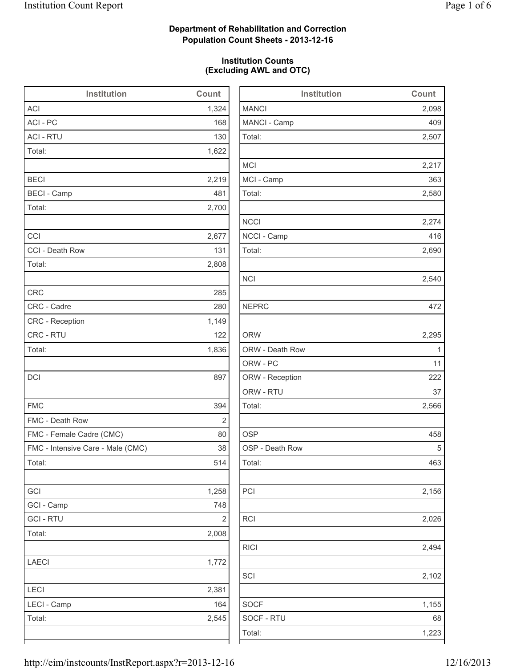2,098

2,507

2,217

2,580

2,274

2,690

2,540

2,295

2,566

2,156

2,026

2,494

 $2,102$ 

 $1,155$ 

### **Department of Rehabilitation and Correction Population Count Sheets - 2013-12-16**

### **Institution Counts (Excluding AWL and OTC)**

| Institution                       | Count          | Institution     | Count        |
|-----------------------------------|----------------|-----------------|--------------|
| <b>ACI</b>                        | 1,324          | <b>MANCI</b>    | 2,098        |
| ACI - PC                          | 168            | MANCI - Camp    | 409          |
| <b>ACI - RTU</b>                  | 130            | Total:          | 2,507        |
| Total:                            | 1,622          |                 |              |
|                                   |                | <b>MCI</b>      | 2,217        |
| <b>BECI</b>                       | 2,219          | MCI - Camp      | 363          |
| <b>BECI</b> - Camp                | 481            | Total:          | 2,580        |
| Total:                            | 2,700          |                 |              |
|                                   |                | <b>NCCI</b>     | 2,274        |
| CCI                               | 2,677          | NCCI - Camp     | 416          |
| CCI - Death Row                   | 131            | Total:          | 2,690        |
| Total:                            | 2,808          |                 |              |
|                                   |                | <b>NCI</b>      | 2,540        |
| <b>CRC</b>                        | 285            |                 |              |
| CRC - Cadre                       | 280            | <b>NEPRC</b>    | 472          |
| CRC - Reception                   | 1,149          |                 |              |
| CRC - RTU                         | 122            | <b>ORW</b>      | 2,295        |
| Total:                            | 1,836          | ORW - Death Row | $\mathbf{1}$ |
|                                   |                | ORW - PC        | 11           |
| <b>DCI</b>                        | 897            | ORW - Reception | 222          |
|                                   |                | ORW - RTU       | 37           |
| <b>FMC</b>                        | 394            | Total:          | 2,566        |
| FMC - Death Row                   | $\mathbf 2$    |                 |              |
| FMC - Female Cadre (CMC)          | 80             | <b>OSP</b>      | 458          |
| FMC - Intensive Care - Male (CMC) | 38             | OSP - Death Row | 5            |
| Total:                            | 514            | Total:          | 463          |
| GCI                               | 1,258          | PCI             | 2,156        |
| GCI - Camp                        | 748            |                 |              |
| <b>GCI-RTU</b>                    | $\overline{2}$ | RCI             | 2,026        |
| Total:                            | 2,008          |                 |              |
|                                   |                | <b>RICI</b>     | 2,494        |
| LAECI                             | 1,772          |                 |              |
|                                   |                | SCI             | 2,102        |
| LECI                              | 2,381          |                 |              |
| LECI - Camp                       | 164            | <b>SOCF</b>     | 1,155        |
| Total:                            | 2,545          | SOCF - RTU      | 68           |
|                                   |                | Total:          | 1,223        |
|                                   |                |                 |              |

| http://eim/instcounts/InstReport.aspx?r=2013-12-16 | 12/16/2013 |
|----------------------------------------------------|------------|
|                                                    |            |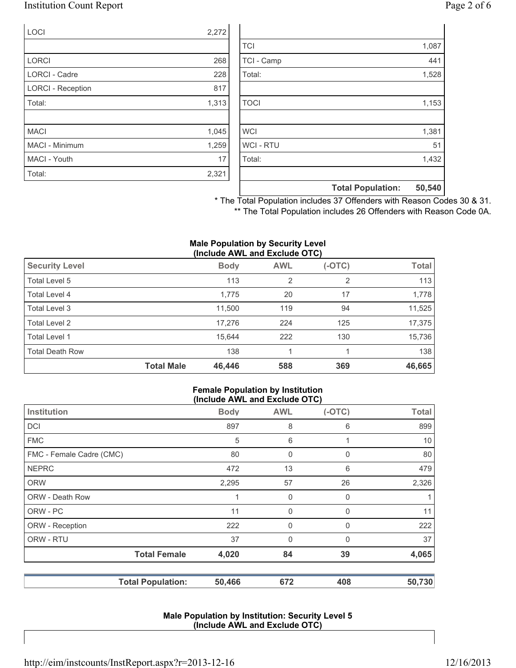### Institution Count Report Page 2 of 6

| <b>LOCI</b>              | 2,272 |
|--------------------------|-------|
|                          |       |
| <b>LORCI</b>             | 268   |
| <b>LORCI - Cadre</b>     | 228   |
| <b>LORCI - Reception</b> | 817   |
| Total:                   | 1,313 |
|                          |       |
| <b>MACI</b>              | 1,045 |
| <b>MACI - Minimum</b>    | 1,259 |
| MACI - Youth             | 17    |
| Total:                   | 2,321 |

|                | <b>Total Population:</b> | 50,540 |
|----------------|--------------------------|--------|
| Total:         |                          | 1,432  |
|                |                          |        |
| <b>WCI-RTU</b> |                          | 51     |
| <b>WCI</b>     |                          | 1,381  |
|                |                          |        |
| <b>TOCI</b>    |                          | 1,153  |
|                |                          |        |
| Total:         |                          | 1,528  |
| TCI - Camp     |                          | 441    |
| <b>TCI</b>     |                          | 1,087  |

\* The Total Population includes 37 Offenders with Reason Codes 30 & 31. \*\* The Total Population includes 26 Offenders with Reason Code 0A.

#### **Male Population by Security Level (Include AWL and Exclude OTC)**

|                        |                   | ,           |                |          |              |
|------------------------|-------------------|-------------|----------------|----------|--------------|
| <b>Security Level</b>  |                   | <b>Body</b> | <b>AWL</b>     | $(-OTC)$ | <b>Total</b> |
| Total Level 5          |                   | 113         | $\overline{2}$ | 2        | 113          |
| Total Level 4          |                   | 1,775       | 20             | 17       | 1,778        |
| Total Level 3          |                   | 11,500      | 119            | 94       | 11,525       |
| Total Level 2          |                   | 17,276      | 224            | 125      | 17,375       |
| Total Level 1          |                   | 15,644      | 222            | 130      | 15,736       |
| <b>Total Death Row</b> |                   | 138         |                |          | 138          |
|                        | <b>Total Male</b> | 46,446      | 588            | 369      | 46,665       |

#### **Female Population by Institution (Include AWL and Exclude OTC)**

|                          |             | $(1101440)$ and $2101440$ and $0.9$ |          |                 |
|--------------------------|-------------|-------------------------------------|----------|-----------------|
| Institution              | <b>Body</b> | <b>AWL</b>                          | $(-OTC)$ | <b>Total</b>    |
| <b>DCI</b>               | 897         | 8                                   | 6        | 899             |
| <b>FMC</b>               | 5           | 6                                   |          | 10 <sup>°</sup> |
| FMC - Female Cadre (CMC) | 80          | 0                                   | 0        | 80              |
| <b>NEPRC</b>             | 472         | 13                                  | 6        | 479             |
| <b>ORW</b>               | 2,295       | 57                                  | 26       | 2,326           |
| <b>ORW - Death Row</b>   |             | 0                                   | 0        | 1               |
| ORW - PC                 | 11          | 0                                   | 0        | 11              |
| ORW - Reception          | 222         | 0                                   | 0        | 222             |
| ORW - RTU                | 37          | 0                                   | 0        | 37              |
| <b>Total Female</b>      | 4,020       | 84                                  | 39       | 4,065           |
| <b>Total Population:</b> | 50,466      | 672                                 | 408      | 50,730          |

#### **Male Population by Institution: Security Level 5 (Include AWL and Exclude OTC)**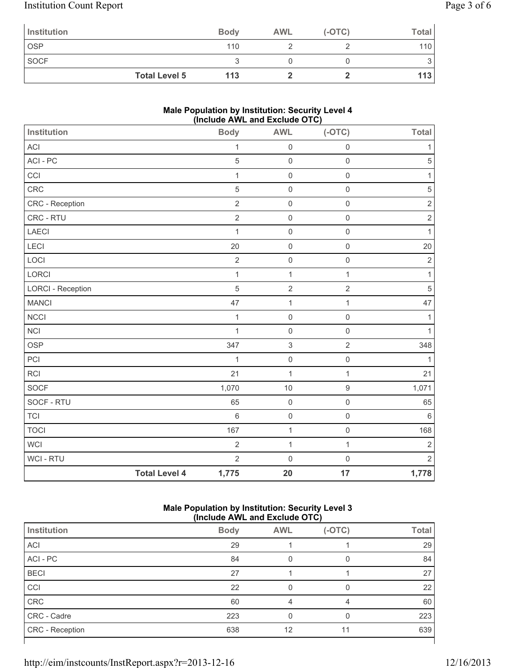# Institution Count Report Page 3 of 6

| Institution          | <b>Body</b> | <b>AWL</b> | $(-OTC)$ | Total            |
|----------------------|-------------|------------|----------|------------------|
| <b>OSP</b>           | 110         |            |          | 110 <sub>l</sub> |
| <b>SOCF</b>          |             |            |          |                  |
| <b>Total Level 5</b> | 113         |            |          | 113              |

### **Male Population by Institution: Security Level 4 (Include AWL and Exclude OTC)**

| Institution                 |                      | <br><b>Body</b> | $1.11 - 0.114 - 0.101000 - 0.10$<br><b>AWL</b> | $(-OTC)$            | Total          |
|-----------------------------|----------------------|-----------------|------------------------------------------------|---------------------|----------------|
| ACI                         |                      | $\mathbf 1$     | $\mathsf{O}\xspace$                            | $\mathbf 0$         | 1              |
| ACI - PC                    |                      | 5               | $\mathsf 0$                                    | $\mathsf{O}\xspace$ | 5              |
| CCI                         |                      | $\mathbf{1}$    | $\mathsf{O}\xspace$                            | $\mathsf{O}\xspace$ | 1              |
| CRC                         |                      | 5               | $\mathsf 0$                                    | $\mathbf 0$         | $\sqrt{5}$     |
| CRC - Reception             |                      | $\overline{2}$  | $\mathsf 0$                                    | $\mathsf{O}\xspace$ | $\overline{2}$ |
| CRC - RTU                   |                      | $\overline{2}$  | $\mathsf 0$                                    | $\mathsf{O}\xspace$ | $\mathbf 2$    |
| <b>LAECI</b>                |                      | $\mathbf{1}$    | $\mathsf 0$                                    | $\mathsf{O}\xspace$ | $\mathbf{1}$   |
| LECI                        |                      | 20              | $\mathsf 0$                                    | $\mathsf{O}\xspace$ | 20             |
| LOCI                        |                      | $\overline{2}$  | $\mathsf{O}\xspace$                            | $\mathsf 0$         | $\mathbf 2$    |
| LORCI                       |                      | $\mathbf{1}$    | $\mathbf{1}$                                   | $\mathbf{1}$        | $\mathbf{1}$   |
| <b>LORCI - Reception</b>    |                      | 5               | $\sqrt{2}$                                     | $\sqrt{2}$          | $\sqrt{5}$     |
| <b>MANCI</b>                |                      | 47              | $\mathbf{1}$                                   | $\mathbf{1}$        | 47             |
| <b>NCCI</b>                 |                      | $\mathbf 1$     | $\mathsf{O}\xspace$                            | $\mathsf{O}\xspace$ | 1              |
| <b>NCI</b>                  |                      | $\mathbf{1}$    | $\mathsf{O}\xspace$                            | $\mathsf{O}\xspace$ | $\mathbf{1}$   |
| <b>OSP</b>                  |                      | 347             | $\ensuremath{\mathsf{3}}$                      | $\overline{2}$      | 348            |
| PCI                         |                      | $\mathbf{1}$    | $\mathsf 0$                                    | $\mathsf{O}\xspace$ | $\mathbf{1}$   |
| <b>RCI</b>                  |                      | 21              | 1                                              | $\mathbf{1}$        | 21             |
| SOCF                        |                      | 1,070           | 10                                             | $\boldsymbol{9}$    | 1,071          |
| SOCF - RTU                  |                      | 65              | $\mathsf{O}\xspace$                            | $\mathsf{O}\xspace$ | 65             |
| $\ensuremath{\mathsf{TCL}}$ |                      | $6\phantom{a}$  | $\mathsf 0$                                    | $\mathsf{O}\xspace$ | 6              |
| <b>TOCI</b>                 |                      | 167             | 1                                              | $\mathsf{O}\xspace$ | 168            |
| WCI                         |                      | $\overline{2}$  | $\mathbf{1}$                                   | $\mathbf{1}$        | $\mathbf 2$    |
| WCI - RTU                   |                      | $\overline{2}$  | $\mathbf 0$                                    | $\mathbf 0$         | $\overline{2}$ |
|                             | <b>Total Level 4</b> | 1,775           | 20                                             | 17                  | 1,778          |

### **Male Population by Institution: Security Level 3 (Include AWL and Exclude OTC)**

|                        | ,           |            |          |              |
|------------------------|-------------|------------|----------|--------------|
| Institution            | <b>Body</b> | <b>AWL</b> | $(-OTC)$ | <b>Total</b> |
| <b>ACI</b>             | 29          |            |          | 29           |
| ACI - PC               | 84          |            |          | 84           |
| <b>BECI</b>            | 27          |            |          | 27           |
| CCI                    | 22          |            | 0        | 22           |
| CRC                    | 60          | 4          | 4        | 60           |
| CRC - Cadre            | 223         |            |          | 223          |
| <b>CRC</b> - Reception | 638         | 12         | 11       | 639          |
|                        |             |            |          |              |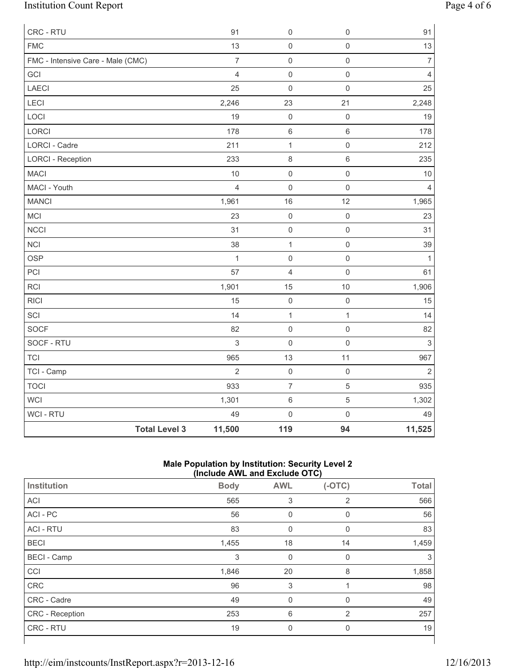# Institution Count Report Page 4 of 6

| CRC - RTU                         |                      | 91             | $\mathsf 0$              | $\mathsf 0$         | 91             |
|-----------------------------------|----------------------|----------------|--------------------------|---------------------|----------------|
| <b>FMC</b>                        |                      | 13             | $\mathbf 0$              | $\mathsf{O}\xspace$ | 13             |
| FMC - Intensive Care - Male (CMC) |                      | $\overline{7}$ | $\mathsf 0$              | $\mathsf{O}\xspace$ | $\overline{7}$ |
| GCI                               |                      | $\overline{4}$ | $\mathsf{O}\xspace$      | $\mathsf{O}\xspace$ | $\overline{4}$ |
| LAECI                             |                      | 25             | $\mathbf 0$              | $\mathsf 0$         | 25             |
| LECI                              |                      | 2,246          | 23                       | 21                  | 2,248          |
| LOCI                              |                      | 19             | $\mathbf 0$              | $\mathbf 0$         | 19             |
| LORCI                             |                      | 178            | $\,6\,$                  | $\,6\,$             | 178            |
| LORCI - Cadre                     |                      | 211            | $\mathbf{1}$             | $\mathsf{O}\xspace$ | 212            |
| <b>LORCI - Reception</b>          |                      | 233            | $\,8\,$                  | $\,6\,$             | 235            |
| <b>MACI</b>                       |                      | 10             | $\mathbf 0$              | $\mathsf{O}\xspace$ | $10$           |
| MACI - Youth                      |                      | $\overline{4}$ | $\mathbf 0$              | $\mathsf{O}\xspace$ | $\overline{4}$ |
| <b>MANCI</b>                      |                      | 1,961          | 16                       | 12                  | 1,965          |
| MCI                               |                      | 23             | $\mathbf 0$              | $\mathsf 0$         | 23             |
| <b>NCCI</b>                       |                      | 31             | $\mathsf{O}\xspace$      | $\mathsf 0$         | 31             |
| <b>NCI</b>                        |                      | 38             | $\mathbf{1}$             | $\mathsf{O}\xspace$ | 39             |
| <b>OSP</b>                        |                      | $\mathbf{1}$   | $\mathbf 0$              | $\mathsf{O}\xspace$ | $\mathbf{1}$   |
| PCI                               |                      | 57             | 4                        | $\mathsf{O}\xspace$ | 61             |
| <b>RCI</b>                        |                      | 1,901          | 15                       | 10                  | 1,906          |
| <b>RICI</b>                       |                      | 15             | $\mathbf 0$              | $\mathsf 0$         | 15             |
| SCI                               |                      | 14             | $\mathbf{1}$             | $\mathbf{1}$        | 14             |
| SOCF                              |                      | 82             | $\mathbf 0$              | $\mathsf{O}\xspace$ | 82             |
| SOCF - RTU                        |                      | $\sqrt{3}$     | $\mathsf{O}\xspace$      | $\mathsf{O}\xspace$ | $\mathsf 3$    |
| <b>TCI</b>                        |                      | 965            | 13                       | 11                  | 967            |
| TCI - Camp                        |                      | $\overline{2}$ | $\mathsf{O}\xspace$      | $\mathsf{O}\xspace$ | $\sqrt{2}$     |
| <b>TOCI</b>                       |                      | 933            | $\overline{\mathcal{I}}$ | $\sqrt{5}$          | 935            |
| WCI                               |                      | 1,301          | $\,6\,$                  | $\sqrt{5}$          | 1,302          |
| WCI - RTU                         |                      | 49             | $\mathsf{O}\xspace$      | $\mathsf{O}\xspace$ | 49             |
|                                   | <b>Total Level 3</b> | 11,500         | 119                      | 94                  | 11,525         |

### **Male Population by Institution: Security Level 2 (Include AWL and Exclude OTC)**

| Institution        | <b>Body</b> | <b>AWL</b>  | $(-OTC)$       | <b>Total</b> |  |
|--------------------|-------------|-------------|----------------|--------------|--|
| <b>ACI</b>         | 565         | 3           | 2              | 566          |  |
| ACI - PC           | 56          | 0           | 0              | 56           |  |
| <b>ACI - RTU</b>   | 83          | 0           | 0              | 83           |  |
| <b>BECI</b>        | 1,455       | 18          | 14             | 1,459        |  |
| <b>BECI</b> - Camp | 3           | $\mathbf 0$ | 0              | 3            |  |
| CCI                | 1,846       | 20          | 8              | 1,858        |  |
| <b>CRC</b>         | 96          | 3           |                | 98           |  |
| CRC - Cadre        | 49          | 0           | $\mathbf{0}$   | 49           |  |
| CRC - Reception    | 253         | 6           | $\overline{2}$ | 257          |  |
| CRC - RTU          | 19          | 0           | $\mathbf{0}$   | 19           |  |
|                    |             |             |                |              |  |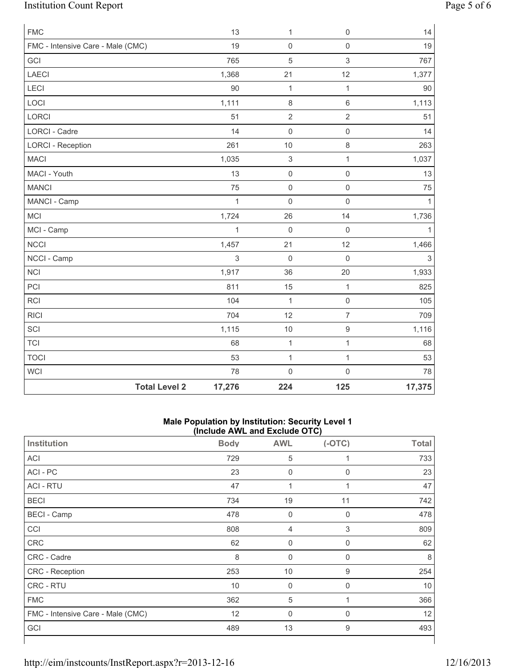# Institution Count Report Page 5 of 6

| <b>FMC</b>                        |                      | 13           | 1                         | $\mathsf{O}\xspace$ | 14           |
|-----------------------------------|----------------------|--------------|---------------------------|---------------------|--------------|
| FMC - Intensive Care - Male (CMC) |                      | 19           | $\mathsf 0$               | $\mathsf{O}\xspace$ | 19           |
| GCI                               |                      | 765          | $\sqrt{5}$                | 3                   | 767          |
| <b>LAECI</b>                      |                      | 1,368        | 21                        | 12                  | 1,377        |
| LECI                              |                      | 90           | $\mathbf{1}$              | $\mathbf{1}$        | 90           |
| LOCI                              |                      | 1,111        | $\,8\,$                   | 6                   | 1,113        |
| LORCI                             |                      | 51           | $\overline{2}$            | $\overline{2}$      | 51           |
| LORCI - Cadre                     |                      | 14           | $\mathbf 0$               | $\mathsf{O}\xspace$ | 14           |
| <b>LORCI - Reception</b>          |                      | 261          | 10                        | 8                   | 263          |
| <b>MACI</b>                       |                      | 1,035        | $\ensuremath{\mathsf{3}}$ | $\mathbf{1}$        | 1,037        |
| MACI - Youth                      |                      | 13           | $\mathsf{O}\xspace$       | $\mathsf{O}\xspace$ | 13           |
| <b>MANCI</b>                      |                      | 75           | $\mathsf 0$               | $\mathsf{O}\xspace$ | 75           |
| MANCI - Camp                      |                      | $\mathbf{1}$ | $\mathbf 0$               | $\mathsf{O}\xspace$ | $\mathbf{1}$ |
| <b>MCI</b>                        |                      | 1,724        | 26                        | 14                  | 1,736        |
| MCI - Camp                        |                      | $\mathbf{1}$ | $\mathsf 0$               | $\mathsf{O}\xspace$ | $\mathbf{1}$ |
| <b>NCCI</b>                       |                      | 1,457        | 21                        | 12                  | 1,466        |
| NCCI - Camp                       |                      | 3            | $\mathbf 0$               | $\mathbf 0$         | $\mathsf 3$  |
| <b>NCI</b>                        |                      | 1,917        | 36                        | 20                  | 1,933        |
| PCI                               |                      | 811          | 15                        | $\mathbf{1}$        | 825          |
| RCI                               |                      | 104          | $\mathbf{1}$              | $\mathsf{O}\xspace$ | 105          |
| <b>RICI</b>                       |                      | 704          | 12                        | $\overline{7}$      | 709          |
| SCI                               |                      | 1,115        | 10                        | $\hbox{9}$          | 1,116        |
| <b>TCI</b>                        |                      | 68           | $\mathbf{1}$              | $\mathbf{1}$        | 68           |
| <b>TOCI</b>                       |                      | 53           | $\mathbf{1}$              | $\mathbf{1}$        | 53           |
| WCI                               |                      | 78           | $\mathsf 0$               | $\mathsf 0$         | 78           |
|                                   | <b>Total Level 2</b> | 17,276       | 224                       | 125                 | 17,375       |

#### **Male Population by Institution: Security Level 1 (Include AWL and Exclude OTC)**

| $($ $\overline{a}$ $\overline{b}$ $\overline{c}$ $\overline{c}$ $\overline{c}$ $\overline{c}$ $\overline{c}$ $\overline{c}$ $\overline{c}$ $\overline{c}$ $\overline{c}$ $\overline{c}$ |             |                  |          |              |  |  |
|-----------------------------------------------------------------------------------------------------------------------------------------------------------------------------------------|-------------|------------------|----------|--------------|--|--|
| Institution                                                                                                                                                                             | <b>Body</b> | <b>AWL</b>       | $(-OTC)$ | <b>Total</b> |  |  |
| ACI                                                                                                                                                                                     | 729         | 5                | 1        | 733          |  |  |
| ACI - PC                                                                                                                                                                                | 23          | $\mathbf 0$      | 0        | 23           |  |  |
| <b>ACI - RTU</b>                                                                                                                                                                        | 47          | 1                |          | 47           |  |  |
| <b>BECI</b>                                                                                                                                                                             | 734         | 19               | 11       | 742          |  |  |
| <b>BECI</b> - Camp                                                                                                                                                                      | 478         | $\boldsymbol{0}$ | 0        | 478          |  |  |
| CCI                                                                                                                                                                                     | 808         | $\overline{4}$   | 3        | 809          |  |  |
| CRC                                                                                                                                                                                     | 62          | $\boldsymbol{0}$ | 0        | 62           |  |  |
| CRC - Cadre                                                                                                                                                                             | 8           | $\mathbf 0$      | 0        | 8            |  |  |
| CRC - Reception                                                                                                                                                                         | 253         | 10               | 9        | 254          |  |  |
| CRC - RTU                                                                                                                                                                               | 10          | $\mathbf 0$      | 0        | 10           |  |  |
| <b>FMC</b>                                                                                                                                                                              | 362         | 5                |          | 366          |  |  |
| FMC - Intensive Care - Male (CMC)                                                                                                                                                       | 12          | $\mathbf 0$      | 0        | 12           |  |  |
| GCI                                                                                                                                                                                     | 489         | 13               | 9        | 493          |  |  |
|                                                                                                                                                                                         |             |                  |          |              |  |  |